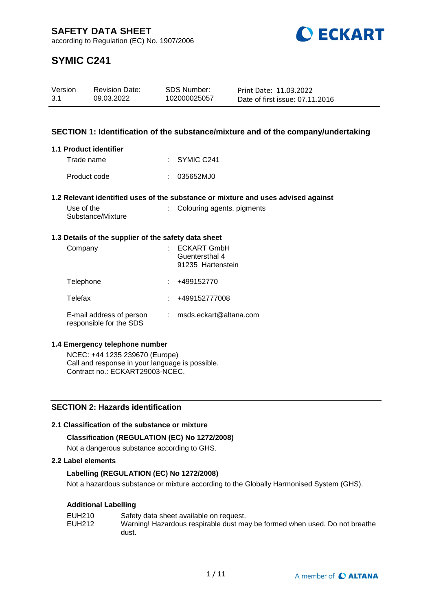

# **SYMIC C241**

| Version | <b>Revision Date:</b> | SDS Number:  | Print Date: 11.03.2022          |
|---------|-----------------------|--------------|---------------------------------|
| 3.1     | 09.03.2022            | 102000025057 | Date of first issue: 07.11.2016 |

# **SECTION 1: Identification of the substance/mixture and of the company/undertaking**

## **1.1 Product identifier**

| Trade name   | $\therefore$ SYMIC C241 |
|--------------|-------------------------|
| Product code | : 035652MJ0             |

## **1.2 Relevant identified uses of the substance or mixture and uses advised against**

| Use of the        |  |
|-------------------|--|
| Substance/Mixture |  |

# : Colouring agents, pigments

## **1.3 Details of the supplier of the safety data sheet**

| Company                                             | <b>ECKART GmbH</b><br>Guentersthal 4<br>91235 Hartenstein |
|-----------------------------------------------------|-----------------------------------------------------------|
| Telephone                                           | +499152770                                                |
| Telefax                                             | +499152777008                                             |
| E-mail address of person<br>responsible for the SDS | msds.eckart@altana.com                                    |

## **1.4 Emergency telephone number**

NCEC: +44 1235 239670 (Europe) Call and response in your language is possible. Contract no.: ECKART29003-NCEC.

# **SECTION 2: Hazards identification**

# **2.1 Classification of the substance or mixture**

# **Classification (REGULATION (EC) No 1272/2008)**

Not a dangerous substance according to GHS.

## **2.2 Label elements**

# **Labelling (REGULATION (EC) No 1272/2008)**

Not a hazardous substance or mixture according to the Globally Harmonised System (GHS).

# **Additional Labelling**

| EUH210 | Safety data sheet available on request.                                    |
|--------|----------------------------------------------------------------------------|
| EUH212 | Warning! Hazardous respirable dust may be formed when used. Do not breathe |
|        | dust.                                                                      |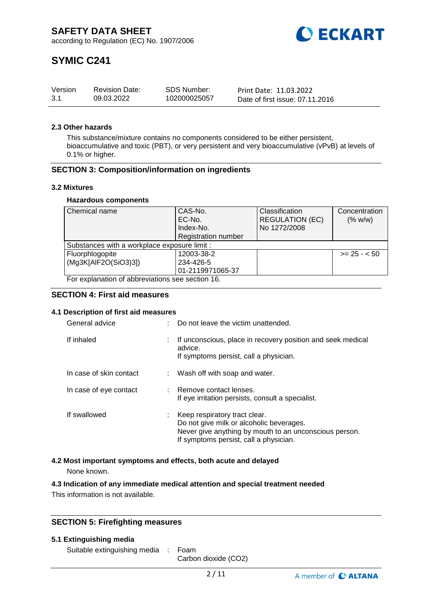

# **SYMIC C241**

| Version | <b>Revision Date:</b> | SDS Number:  | Print Date: 11.03.2022          |
|---------|-----------------------|--------------|---------------------------------|
| -3.1    | 09.03.2022            | 102000025057 | Date of first issue: 07.11.2016 |

### **2.3 Other hazards**

This substance/mixture contains no components considered to be either persistent, bioaccumulative and toxic (PBT), or very persistent and very bioaccumulative (vPvB) at levels of 0.1% or higher.

## **SECTION 3: Composition/information on ingredients**

#### **3.2 Mixtures**

#### **Hazardous components**

| Chemical name                                    | CAS-No.                    | Classification         | Concentration |
|--------------------------------------------------|----------------------------|------------------------|---------------|
|                                                  | EC-No.                     | <b>REGULATION (EC)</b> | (% w/w)       |
|                                                  | Index-No.                  | No 1272/2008           |               |
|                                                  | <b>Registration number</b> |                        |               |
| Substances with a workplace exposure limit :     |                            |                        |               |
| Fluorphlogopite                                  | 12003-38-2                 |                        | $>= 25 - 50$  |
| (Mg3K[AlF2O(SiO3)3])                             | 234-426-5                  |                        |               |
|                                                  | 01-2119971065-37           |                        |               |
| For explanation of abbreviations see section 16. |                            |                        |               |

## **SECTION 4: First aid measures**

## **4.1 Description of first aid measures**

| General advice          | Do not leave the victim unattended.                                                                                                                                           |
|-------------------------|-------------------------------------------------------------------------------------------------------------------------------------------------------------------------------|
| If inhaled              | If unconscious, place in recovery position and seek medical<br>advice.<br>If symptoms persist, call a physician.                                                              |
| In case of skin contact | : Wash off with soap and water.                                                                                                                                               |
| In case of eye contact  | : Remove contact lenses.<br>If eye irritation persists, consult a specialist.                                                                                                 |
| If swallowed            | Keep respiratory tract clear.<br>Do not give milk or alcoholic beverages.<br>Never give anything by mouth to an unconscious person.<br>If symptoms persist, call a physician. |

## **4.2 Most important symptoms and effects, both acute and delayed**

None known.

## **4.3 Indication of any immediate medical attention and special treatment needed**

This information is not available.

## **SECTION 5: Firefighting measures**

#### **5.1 Extinguishing media**

Suitable extinguishing media : Foam

Carbon dioxide (CO2)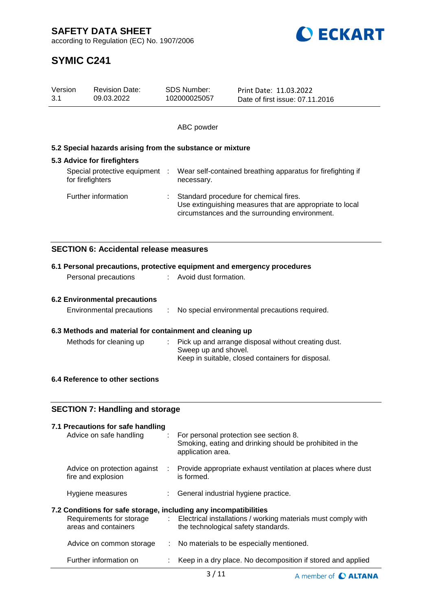**SAFETY DATA SHEET**

according to Regulation (EC) No. 1907/2006



# **SYMIC C241**

| Version<br>3.1                                               | <b>Revision Date:</b><br>09.03.2022                                                                                                                                                                                     |  | <b>SDS Number:</b><br>102000025057                                                                                                                   | Print Date: 11.03.2022<br>Date of first issue: 07.11.2016                                          |  |
|--------------------------------------------------------------|-------------------------------------------------------------------------------------------------------------------------------------------------------------------------------------------------------------------------|--|------------------------------------------------------------------------------------------------------------------------------------------------------|----------------------------------------------------------------------------------------------------|--|
|                                                              |                                                                                                                                                                                                                         |  | ABC powder                                                                                                                                           |                                                                                                    |  |
|                                                              | 5.2 Special hazards arising from the substance or mixture                                                                                                                                                               |  |                                                                                                                                                      |                                                                                                    |  |
|                                                              | 5.3 Advice for firefighters                                                                                                                                                                                             |  |                                                                                                                                                      |                                                                                                    |  |
|                                                              | Special protective equipment<br>for firefighters                                                                                                                                                                        |  | necessary.                                                                                                                                           | Wear self-contained breathing apparatus for firefighting if                                        |  |
|                                                              | Further information                                                                                                                                                                                                     |  | Standard procedure for chemical fires.<br>Use extinguishing measures that are appropriate to local<br>circumstances and the surrounding environment. |                                                                                                    |  |
|                                                              | <b>SECTION 6: Accidental release measures</b>                                                                                                                                                                           |  |                                                                                                                                                      |                                                                                                    |  |
|                                                              | 6.1 Personal precautions, protective equipment and emergency procedures                                                                                                                                                 |  |                                                                                                                                                      |                                                                                                    |  |
|                                                              | Personal precautions                                                                                                                                                                                                    |  | : Avoid dust formation.                                                                                                                              |                                                                                                    |  |
|                                                              | <b>6.2 Environmental precautions</b>                                                                                                                                                                                    |  |                                                                                                                                                      |                                                                                                    |  |
|                                                              | Environmental precautions                                                                                                                                                                                               |  |                                                                                                                                                      | No special environmental precautions required.                                                     |  |
|                                                              |                                                                                                                                                                                                                         |  |                                                                                                                                                      |                                                                                                    |  |
|                                                              | 6.3 Methods and material for containment and cleaning up<br>Pick up and arrange disposal without creating dust.<br>Methods for cleaning up<br>Sweep up and shovel.<br>Keep in suitable, closed containers for disposal. |  |                                                                                                                                                      |                                                                                                    |  |
|                                                              | 6.4 Reference to other sections                                                                                                                                                                                         |  |                                                                                                                                                      |                                                                                                    |  |
|                                                              |                                                                                                                                                                                                                         |  |                                                                                                                                                      |                                                                                                    |  |
| <b>SECTION 7: Handling and storage</b>                       |                                                                                                                                                                                                                         |  |                                                                                                                                                      |                                                                                                    |  |
| 7.1 Precautions for safe handling<br>Advice on safe handling |                                                                                                                                                                                                                         |  | application area.                                                                                                                                    | For personal protection see section 8.<br>Smoking, eating and drinking should be prohibited in the |  |
|                                                              |                                                                                                                                                                                                                         |  |                                                                                                                                                      |                                                                                                    |  |

Advice on protection against : Provide appropriate exhaust ventilation at places where dust fire and explosion is formed.

Hygiene measures : General industrial hygiene practice.

## **7.2 Conditions for safe storage, including any incompatibilities**

| Requirements for storage<br>areas and containers | Electrical installations / working materials must comply with<br>the technological safety standards. |
|--------------------------------------------------|------------------------------------------------------------------------------------------------------|
| Advice on common storage                         | : No materials to be especially mentioned.                                                           |
| Further information on                           | : Keep in a dry place. No decomposition if stored and applied                                        |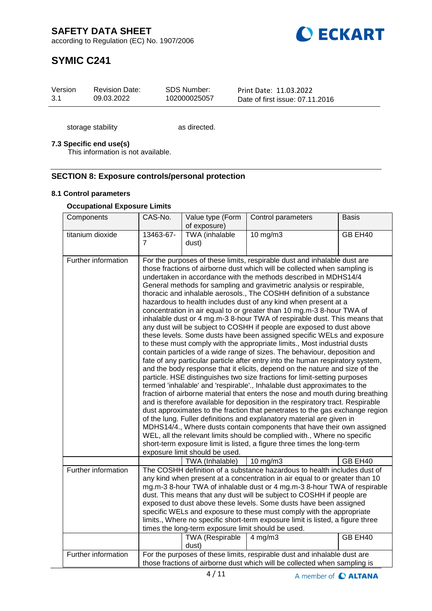

# **SYMIC C241**

| Version | <b>Revision Date:</b> | SDS Number:  | Print Date: 11.03.2022          |
|---------|-----------------------|--------------|---------------------------------|
| 3.1     | 09.03.2022            | 102000025057 | Date of first issue: 07.11.2016 |

storage stability as directed.

## **7.3 Specific end use(s)**

This information is not available.

## **SECTION 8: Exposure controls/personal protection**

#### **8.1 Control parameters**

## **Occupational Exposure Limits**

| Components          | CAS-No.                     | Value type (Form<br>of exposure)                                                      | Control parameters                                                                                                                                                                                                                                                                                                                                                                                                                                                                                                                                                                                                                                                                                                                                                                                                                                                                                                                                                                                                                                                                                                                                                                                                                                                                                                                                                                                                                                                                                                                                                                                                                                                                                                                                                                                    | <b>Basis</b> |
|---------------------|-----------------------------|---------------------------------------------------------------------------------------|-------------------------------------------------------------------------------------------------------------------------------------------------------------------------------------------------------------------------------------------------------------------------------------------------------------------------------------------------------------------------------------------------------------------------------------------------------------------------------------------------------------------------------------------------------------------------------------------------------------------------------------------------------------------------------------------------------------------------------------------------------------------------------------------------------------------------------------------------------------------------------------------------------------------------------------------------------------------------------------------------------------------------------------------------------------------------------------------------------------------------------------------------------------------------------------------------------------------------------------------------------------------------------------------------------------------------------------------------------------------------------------------------------------------------------------------------------------------------------------------------------------------------------------------------------------------------------------------------------------------------------------------------------------------------------------------------------------------------------------------------------------------------------------------------------|--------------|
| titanium dioxide    | 13463-67-<br>$\overline{7}$ | TWA (inhalable<br>dust)                                                               | 10 mg/m3                                                                                                                                                                                                                                                                                                                                                                                                                                                                                                                                                                                                                                                                                                                                                                                                                                                                                                                                                                                                                                                                                                                                                                                                                                                                                                                                                                                                                                                                                                                                                                                                                                                                                                                                                                                              | GB EH40      |
| Further information |                             | exposure limit should be used.                                                        | For the purposes of these limits, respirable dust and inhalable dust are<br>those fractions of airborne dust which will be collected when sampling is<br>undertaken in accordance with the methods described in MDHS14/4<br>General methods for sampling and gravimetric analysis or respirable,<br>thoracic and inhalable aerosols., The COSHH definition of a substance<br>hazardous to health includes dust of any kind when present at a<br>concentration in air equal to or greater than 10 mg.m-3 8-hour TWA of<br>inhalable dust or 4 mg.m-3 8-hour TWA of respirable dust. This means that<br>any dust will be subject to COSHH if people are exposed to dust above<br>these levels. Some dusts have been assigned specific WELs and exposure<br>to these must comply with the appropriate limits., Most industrial dusts<br>contain particles of a wide range of sizes. The behaviour, deposition and<br>fate of any particular particle after entry into the human respiratory system,<br>and the body response that it elicits, depend on the nature and size of the<br>particle. HSE distinguishes two size fractions for limit-setting purposes<br>termed 'inhalable' and 'respirable'., Inhalable dust approximates to the<br>fraction of airborne material that enters the nose and mouth during breathing<br>and is therefore available for deposition in the respiratory tract. Respirable<br>dust approximates to the fraction that penetrates to the gas exchange region<br>of the lung. Fuller definitions and explanatory material are given in<br>MDHS14/4., Where dusts contain components that have their own assigned<br>WEL, all the relevant limits should be complied with., Where no specific<br>short-term exposure limit is listed, a figure three times the long-term |              |
|                     |                             | TWA (Inhalable)                                                                       | 10 mg/m $3$                                                                                                                                                                                                                                                                                                                                                                                                                                                                                                                                                                                                                                                                                                                                                                                                                                                                                                                                                                                                                                                                                                                                                                                                                                                                                                                                                                                                                                                                                                                                                                                                                                                                                                                                                                                           | GB EH40      |
| Further information |                             | times the long-term exposure limit should be used.<br><b>TWA</b> (Respirable<br>dust) | The COSHH definition of a substance hazardous to health includes dust of<br>any kind when present at a concentration in air equal to or greater than 10<br>mg.m-3 8-hour TWA of inhalable dust or 4 mg.m-3 8-hour TWA of respirable<br>dust. This means that any dust will be subject to COSHH if people are<br>exposed to dust above these levels. Some dusts have been assigned<br>specific WELs and exposure to these must comply with the appropriate<br>limits., Where no specific short-term exposure limit is listed, a figure three<br>$4$ mg/m $3$                                                                                                                                                                                                                                                                                                                                                                                                                                                                                                                                                                                                                                                                                                                                                                                                                                                                                                                                                                                                                                                                                                                                                                                                                                           | GB EH40      |
| Further information |                             |                                                                                       | For the purposes of these limits, respirable dust and inhalable dust are<br>those fractions of airborne dust which will be collected when sampling is                                                                                                                                                                                                                                                                                                                                                                                                                                                                                                                                                                                                                                                                                                                                                                                                                                                                                                                                                                                                                                                                                                                                                                                                                                                                                                                                                                                                                                                                                                                                                                                                                                                 |              |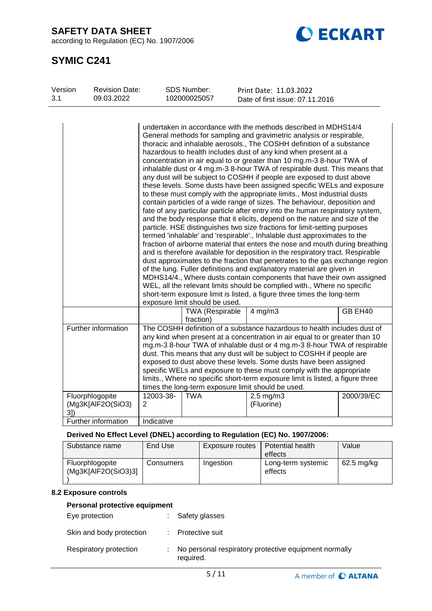**SAFETY DATA SHEET**

according to Regulation (EC) No. 1907/2006



# **SYMIC C241**

| Version<br>3.1 | <b>Revision Date:</b><br>09.03.2022    |                | SDS Number:<br>102000025057         | Print Date: 11.03.2022                                                                                                                                                                                                                                                                                                                                                                                                                                                                                                                                                                                                                                                                                                                                                                                                                                                                                                                                                                                                                                                                                                                                                                                                                                                                                                                                                                                                                                                                                                                                                                                                                       |            |
|----------------|----------------------------------------|----------------|-------------------------------------|----------------------------------------------------------------------------------------------------------------------------------------------------------------------------------------------------------------------------------------------------------------------------------------------------------------------------------------------------------------------------------------------------------------------------------------------------------------------------------------------------------------------------------------------------------------------------------------------------------------------------------------------------------------------------------------------------------------------------------------------------------------------------------------------------------------------------------------------------------------------------------------------------------------------------------------------------------------------------------------------------------------------------------------------------------------------------------------------------------------------------------------------------------------------------------------------------------------------------------------------------------------------------------------------------------------------------------------------------------------------------------------------------------------------------------------------------------------------------------------------------------------------------------------------------------------------------------------------------------------------------------------------|------------|
|                |                                        |                |                                     | Date of first issue: 07.11.2016                                                                                                                                                                                                                                                                                                                                                                                                                                                                                                                                                                                                                                                                                                                                                                                                                                                                                                                                                                                                                                                                                                                                                                                                                                                                                                                                                                                                                                                                                                                                                                                                              |            |
|                |                                        |                | exposure limit should be used.      | undertaken in accordance with the methods described in MDHS14/4<br>General methods for sampling and gravimetric analysis or respirable,<br>thoracic and inhalable aerosols., The COSHH definition of a substance<br>hazardous to health includes dust of any kind when present at a<br>concentration in air equal to or greater than 10 mg.m-3 8-hour TWA of<br>inhalable dust or 4 mg.m-3 8-hour TWA of respirable dust. This means that<br>any dust will be subject to COSHH if people are exposed to dust above<br>these levels. Some dusts have been assigned specific WELs and exposure<br>to these must comply with the appropriate limits., Most industrial dusts<br>contain particles of a wide range of sizes. The behaviour, deposition and<br>fate of any particular particle after entry into the human respiratory system,<br>and the body response that it elicits, depend on the nature and size of the<br>particle. HSE distinguishes two size fractions for limit-setting purposes<br>termed 'inhalable' and 'respirable'., Inhalable dust approximates to the<br>fraction of airborne material that enters the nose and mouth during breathing<br>and is therefore available for deposition in the respiratory tract. Respirable<br>dust approximates to the fraction that penetrates to the gas exchange region<br>of the lung. Fuller definitions and explanatory material are given in<br>MDHS14/4., Where dusts contain components that have their own assigned<br>WEL, all the relevant limits should be complied with., Where no specific<br>short-term exposure limit is listed, a figure three times the long-term |            |
|                |                                        |                | <b>TWA (Respirable</b><br>fraction) | $4$ mg/m $3$                                                                                                                                                                                                                                                                                                                                                                                                                                                                                                                                                                                                                                                                                                                                                                                                                                                                                                                                                                                                                                                                                                                                                                                                                                                                                                                                                                                                                                                                                                                                                                                                                                 | GB EH40    |
|                | Further information<br>Fluorphlogopite | 12003-38-      | <b>TWA</b>                          | The COSHH definition of a substance hazardous to health includes dust of<br>any kind when present at a concentration in air equal to or greater than 10<br>mg.m-3 8-hour TWA of inhalable dust or 4 mg.m-3 8-hour TWA of respirable<br>dust. This means that any dust will be subject to COSHH if people are<br>exposed to dust above these levels. Some dusts have been assigned<br>specific WELs and exposure to these must comply with the appropriate<br>limits., Where no specific short-term exposure limit is listed, a figure three<br>times the long-term exposure limit should be used.<br>$2.5 \text{ mg/m}$ 3                                                                                                                                                                                                                                                                                                                                                                                                                                                                                                                                                                                                                                                                                                                                                                                                                                                                                                                                                                                                                    | 2000/39/EC |
| $3l$ )         | (Mg3K[AlF2O(SiO3)                      | $\overline{2}$ |                                     | (Fluorine)                                                                                                                                                                                                                                                                                                                                                                                                                                                                                                                                                                                                                                                                                                                                                                                                                                                                                                                                                                                                                                                                                                                                                                                                                                                                                                                                                                                                                                                                                                                                                                                                                                   |            |
|                | Further information                    | Indicative     |                                     |                                                                                                                                                                                                                                                                                                                                                                                                                                                                                                                                                                                                                                                                                                                                                                                                                                                                                                                                                                                                                                                                                                                                                                                                                                                                                                                                                                                                                                                                                                                                                                                                                                              |            |
|                |                                        |                |                                     |                                                                                                                                                                                                                                                                                                                                                                                                                                                                                                                                                                                                                                                                                                                                                                                                                                                                                                                                                                                                                                                                                                                                                                                                                                                                                                                                                                                                                                                                                                                                                                                                                                              |            |

# **Derived No Effect Level (DNEL) according to Regulation (EC) No. 1907/2006:**

| Substance name                         | End Use   | Exposure routes | Potential health<br>effects   | Value        |
|----------------------------------------|-----------|-----------------|-------------------------------|--------------|
| Fluorphlogopite<br>(Mg3K[AlF2O(SiO3)3] | Consumers | Ingestion       | Long-term systemic<br>effects | $62.5$ mg/kg |

# **8.2 Exposure controls**

## **Personal protective equipment**

| Eye protection           | : Safety glasses                                                   |
|--------------------------|--------------------------------------------------------------------|
| Skin and body protection | : Protective suit                                                  |
| Respiratory protection   | No personal respiratory protective equipment normally<br>required. |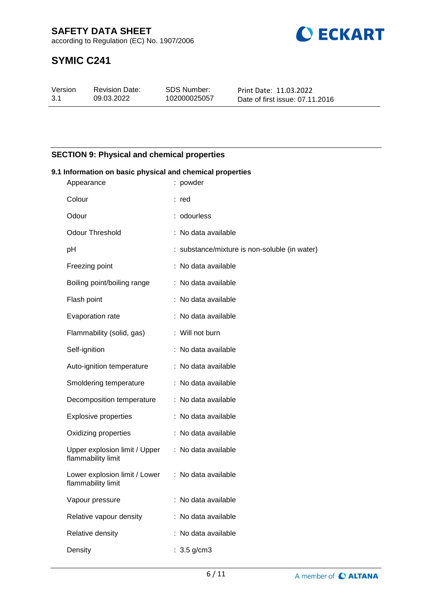**CECKART** 

according to Regulation (EC) No. 1907/2006

# **SYMIC C241**

| Version | <b>Revision Date:</b> | SDS Number:  | Print Date: 11.03.2022          |
|---------|-----------------------|--------------|---------------------------------|
| -3.1    | 09.03.2022            | 102000025057 | Date of first issue: 07.11.2016 |

# **SECTION 9: Physical and chemical properties**

| 9.1 Information on basic physical and chemical properties |  |                                               |  |  |
|-----------------------------------------------------------|--|-----------------------------------------------|--|--|
| Appearance                                                |  | : powder                                      |  |  |
| Colour                                                    |  | : red                                         |  |  |
| Odour                                                     |  | : odourless                                   |  |  |
| <b>Odour Threshold</b>                                    |  | : No data available                           |  |  |
| рH                                                        |  | : substance/mixture is non-soluble (in water) |  |  |
| Freezing point                                            |  | : No data available                           |  |  |
| Boiling point/boiling range                               |  | : No data available                           |  |  |
| Flash point                                               |  | : No data available                           |  |  |
| Evaporation rate                                          |  | : No data available                           |  |  |
| Flammability (solid, gas)                                 |  | : Will not burn                               |  |  |
| Self-ignition                                             |  | : No data available                           |  |  |
| Auto-ignition temperature                                 |  | : No data available                           |  |  |
| Smoldering temperature                                    |  | : No data available                           |  |  |
| Decomposition temperature                                 |  | : No data available                           |  |  |
| <b>Explosive properties</b>                               |  | : No data available                           |  |  |
| Oxidizing properties                                      |  | : No data available                           |  |  |
| Upper explosion limit / Upper<br>flammability limit       |  | : No data available                           |  |  |
| Lower explosion limit / Lower<br>flammability limit       |  | : No data available                           |  |  |
| Vapour pressure                                           |  | : No data available                           |  |  |
| Relative vapour density                                   |  | : No data available                           |  |  |
| Relative density                                          |  | : No data available                           |  |  |
| Density                                                   |  | $: 3.5$ g/cm3                                 |  |  |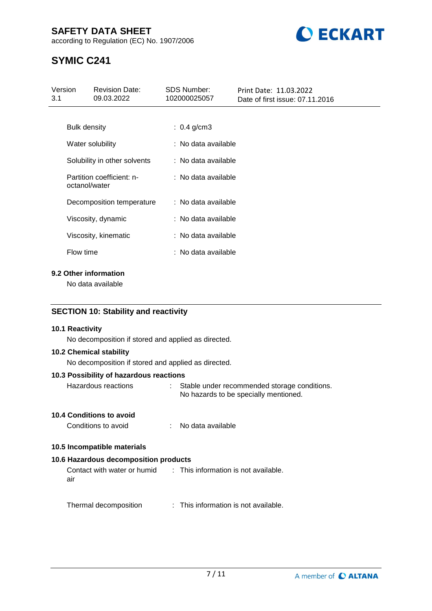# **SAFETY DATA SHEET**

according to Regulation (EC) No. 1907/2006



# **SYMIC C241**

| Version<br>3.1 |                     | <b>Revision Date:</b><br>09.03.2022 | <b>SDS Number:</b><br>102000025057 | Print Date: 11.03.2022<br>Date of first issue: 07.11.2016 |
|----------------|---------------------|-------------------------------------|------------------------------------|-----------------------------------------------------------|
|                |                     |                                     |                                    |                                                           |
|                | <b>Bulk density</b> |                                     | : $0.4$ g/cm3                      |                                                           |
|                |                     | Water solubility                    | : No data available                |                                                           |
|                |                     | Solubility in other solvents        | : No data available                |                                                           |
|                | octanol/water       | Partition coefficient: n-           | : No data available                |                                                           |
|                |                     | Decomposition temperature           | : No data available                |                                                           |
|                |                     | Viscosity, dynamic                  | : No data available                |                                                           |
|                |                     | Viscosity, kinematic                | : No data available                |                                                           |
|                | Flow time           |                                     | : No data available                |                                                           |
|                |                     |                                     |                                    |                                                           |

# **9.2 Other information**

No data available

# **SECTION 10: Stability and reactivity**

## **10.1 Reactivity**

No decomposition if stored and applied as directed.

#### **10.2 Chemical stability**

No decomposition if stored and applied as directed.

## **10.3 Possibility of hazardous reactions**

| Hazardous reactions | Stable under recommended storage conditions. |  |
|---------------------|----------------------------------------------|--|
|                     | No hazards to be specially mentioned.        |  |

#### **10.4 Conditions to avoid**

| Conditions to avoid<br>No data available |
|------------------------------------------|
|------------------------------------------|

# **10.5 Incompatible materials**

# **10.6 Hazardous decomposition products**

Contact with water or humid air : This information is not available.

Thermal decomposition : This information is not available.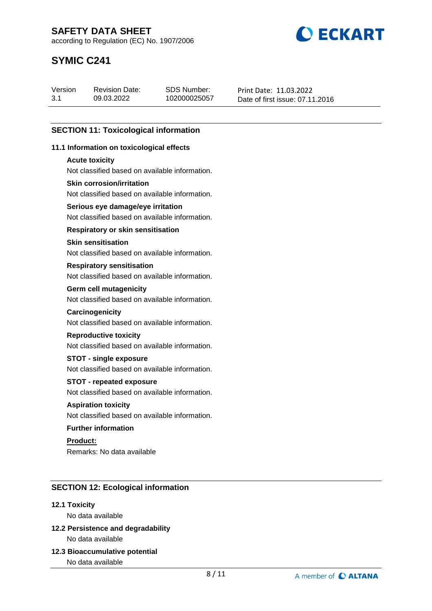**BECKART** 

according to Regulation (EC) No. 1907/2006

# **SYMIC C241**

| Version | <b>Revision Date:</b> | SDS Number:  | Print Date: 11.03.2022          |
|---------|-----------------------|--------------|---------------------------------|
| 3.1     | 09.03.2022            | 102000025057 | Date of first issue: 07.11.2016 |

# **SECTION 11: Toxicological information**

## **11.1 Information on toxicological effects**

#### **Acute toxicity**

Not classified based on available information.

## **Skin corrosion/irritation**

Not classified based on available information.

## **Serious eye damage/eye irritation**

Not classified based on available information.

## **Respiratory or skin sensitisation**

## **Skin sensitisation**

Not classified based on available information.

#### **Respiratory sensitisation**

Not classified based on available information.

#### **Germ cell mutagenicity**

Not classified based on available information.

#### **Carcinogenicity**

Not classified based on available information.

## **Reproductive toxicity**

Not classified based on available information.

## **STOT - single exposure**

Not classified based on available information.

## **STOT - repeated exposure**

Not classified based on available information.

# **Aspiration toxicity**

Not classified based on available information.

## **Further information**

**Product:** Remarks: No data available

# **SECTION 12: Ecological information**

## **12.1 Toxicity**

No data available

# **12.2 Persistence and degradability** No data available

**12.3 Bioaccumulative potential**

No data available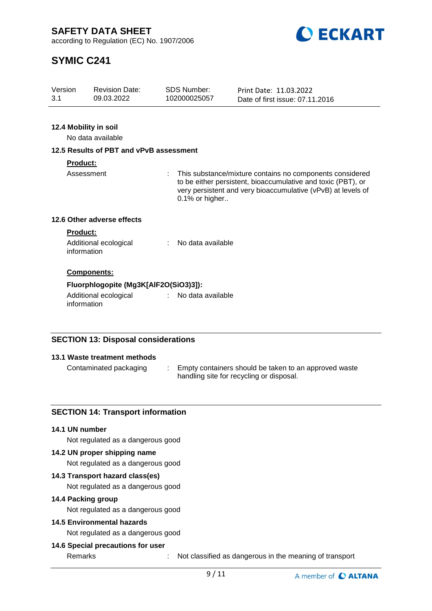**ECKART** 

according to Regulation (EC) No. 1907/2006

# **SYMIC C241**

| Version<br>SDS Number:<br><b>Revision Date:</b><br>Print Date: 11.03.2022<br>3.1<br>09.03.2022<br>102000025057<br>Date of first issue: 07.11.2016 |  |
|---------------------------------------------------------------------------------------------------------------------------------------------------|--|
|---------------------------------------------------------------------------------------------------------------------------------------------------|--|

# **12.4 Mobility in soil**

No data available

## **12.5 Results of PBT and vPvB assessment**

## **Product:**

Assessment : This substance/mixture contains no components considered to be either persistent, bioaccumulative and toxic (PBT), or very persistent and very bioaccumulative (vPvB) at levels of 0.1% or higher..

# **12.6 Other adverse effects**

#### **Product:**

| Additional ecological | No data available |
|-----------------------|-------------------|
| information           |                   |

## **Components:**

## **Fluorphlogopite (Mg3K[AlF2O(SiO3)3]):**

Additional ecological information : No data available

# **SECTION 13: Disposal considerations**

## **13.1 Waste treatment methods**

Contaminated packaging : Empty containers should be taken to an approved waste handling site for recycling or disposal.

# **SECTION 14: Transport information**

#### **14.1 UN number**

Not regulated as a dangerous good

## **14.2 UN proper shipping name**

Not regulated as a dangerous good

## **14.3 Transport hazard class(es)**

Not regulated as a dangerous good

## **14.4 Packing group**

Not regulated as a dangerous good

# **14.5 Environmental hazards**

Not regulated as a dangerous good

## **14.6 Special precautions for user**

Remarks : Not classified as dangerous in the meaning of transport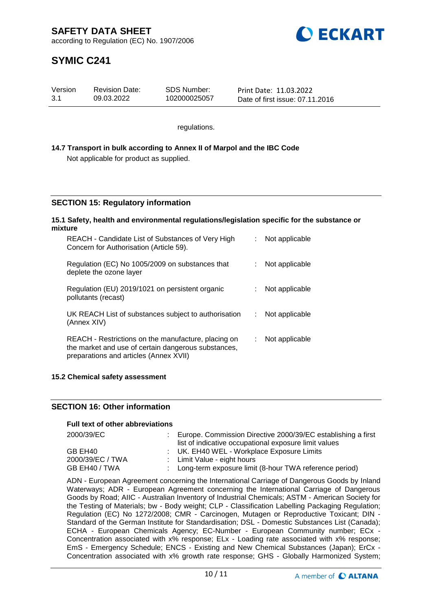

# **SYMIC C241**

| Version | <b>Revision Date:</b> | SDS Number:  | Print Date: 11.03.2022          |
|---------|-----------------------|--------------|---------------------------------|
| 3.1     | 09.03.2022            | 102000025057 | Date of first issue: 07.11.2016 |

regulations.

## **14.7 Transport in bulk according to Annex II of Marpol and the IBC Code** Not applicable for product as supplied.

# **SECTION 15: Regulatory information**

#### **15.1 Safety, health and environmental regulations/legislation specific for the substance or mixture**

| REACH - Candidate List of Substances of Very High<br>Concern for Authorisation (Article 59).                                                         |    | Not applicable |
|------------------------------------------------------------------------------------------------------------------------------------------------------|----|----------------|
| Regulation (EC) No 1005/2009 on substances that<br>deplete the ozone layer                                                                           |    | Not applicable |
| Regulation (EU) 2019/1021 on persistent organic<br>pollutants (recast)                                                                               |    | Not applicable |
| UK REACH List of substances subject to authorisation<br>(Annex XIV)                                                                                  | t. | Not applicable |
| REACH - Restrictions on the manufacture, placing on<br>the market and use of certain dangerous substances,<br>preparations and articles (Annex XVII) |    | Not applicable |

## **15.2 Chemical safety assessment**

## **SECTION 16: Other information**

## **Full text of other abbreviations**

| 2000/39/EC       | : Europe. Commission Directive 2000/39/EC establishing a first<br>list of indicative occupational exposure limit values |
|------------------|-------------------------------------------------------------------------------------------------------------------------|
| GB EH40          | : UK. EH40 WEL - Workplace Exposure Limits                                                                              |
| 2000/39/EC / TWA | : Limit Value - eight hours                                                                                             |
| GB EH40 / TWA    | : Long-term exposure limit (8-hour TWA reference period)                                                                |

ADN - European Agreement concerning the International Carriage of Dangerous Goods by Inland Waterways; ADR - European Agreement concerning the International Carriage of Dangerous Goods by Road; AIIC - Australian Inventory of Industrial Chemicals; ASTM - American Society for the Testing of Materials; bw - Body weight; CLP - Classification Labelling Packaging Regulation; Regulation (EC) No 1272/2008; CMR - Carcinogen, Mutagen or Reproductive Toxicant; DIN - Standard of the German Institute for Standardisation; DSL - Domestic Substances List (Canada); ECHA - European Chemicals Agency; EC-Number - European Community number; ECx - Concentration associated with x% response; ELx - Loading rate associated with x% response; EmS - Emergency Schedule; ENCS - Existing and New Chemical Substances (Japan); ErCx - Concentration associated with x% growth rate response; GHS - Globally Harmonized System;